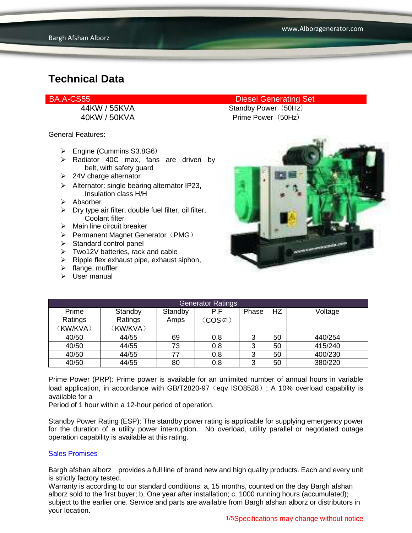General Features:

- $\triangleright$  Engine (Cummins S3.8G6)
- > Radiator 40C max, fans are driven by belt, with safety guard
- $\geq$  24V charge alternator
- $\triangleright$  Alternator: single bearing alternator IP23, Insulation class H/H
- $\triangleright$  Absorber
- $\triangleright$  Dry type air filter, double fuel filter, oil filter, Coolant filter
- $\triangleright$  Main line circuit breaker
- $\triangleright$  Permanent Magnet Generator (PMG)
- $\triangleright$  Standard control panel
- Two12V batteries, rack and cable
- $\triangleright$  Ripple flex exhaust pipe, exhaust siphon,
- $\triangleright$  flange, muffler
- $\triangleright$  User manual

#### BA.A-CS55 Diesel Generating Set

44KW / 55KVA Standby Power (50Hz) 40KW / 50KVA Prime Power (50Hz)



| <b>Generator Ratings</b> |          |         |        |       |           |         |  |
|--------------------------|----------|---------|--------|-------|-----------|---------|--|
| Prime                    | Standby  | Standby | P.F    | Phase | <b>HZ</b> | Voltage |  |
| Ratings                  | Ratings  | Amps    | (COSC) |       |           |         |  |
| (KW/KVA)                 | (KW/KVA) |         |        |       |           |         |  |
| 40/50                    | 44/55    | 69      | 0.8    | 3     | 50        | 440/254 |  |
| 40/50                    | 44/55    | 73      | 0.8    | 3     | 50        | 415/240 |  |
| 40/50                    | 44/55    | 77      | 0.8    | 3     | 50        | 400/230 |  |
| 40/50                    | 44/55    | 80      | 0.8    | 3     | 50        | 380/220 |  |

Prime Power (PRP): Prime power is available for an unlimited number of annual hours in variable load application, in accordance with GB/T2820-97 (eqv ISO8528); A 10% overload capability is available for a

Period of 1 hour within a 12-hour period of operation.

Standby Power Rating (ESP): The standby power rating is applicable for supplying emergency power for the duration of a utility power interruption. No overload, utility parallel or negotiated outage operation capability is available at this rating.

#### Sales Promises

Bargh afshan alborz provides a full line of brand new and high quality products. Each and every unit is strictly factory tested.

Warranty is according to our standard conditions: a, 15 months, counted on the day Bargh afshan alborz sold to the first buyer; b, One year after installation; c, 1000 running hours (accumulated); subject to the earlier one. Service and parts are available from Bargh afshan alborz or distributors in your location.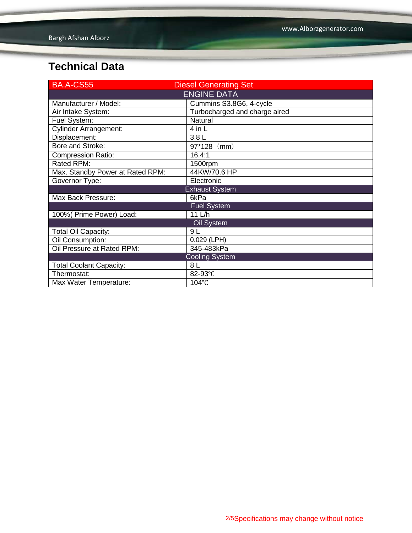| <b>BA.A-CS55</b>                 | <b>Diesel Generating Set</b>  |  |  |  |  |
|----------------------------------|-------------------------------|--|--|--|--|
| <b>ENGINE DATA</b>               |                               |  |  |  |  |
| Manufacturer / Model:            | Cummins S3.8G6, 4-cycle       |  |  |  |  |
| Air Intake System:               | Turbocharged and charge aired |  |  |  |  |
| Fuel System:                     | Natural                       |  |  |  |  |
| <b>Cylinder Arrangement:</b>     | 4 in L                        |  |  |  |  |
| Displacement:                    | 3.8 <sub>L</sub>              |  |  |  |  |
| Bore and Stroke:                 | $97*128$ (mm)                 |  |  |  |  |
| <b>Compression Ratio:</b>        | 16.4:1                        |  |  |  |  |
| Rated RPM:                       | 1500rpm                       |  |  |  |  |
| Max. Standby Power at Rated RPM: | 44KW/70.6 HP                  |  |  |  |  |
| Governor Type:                   | Electronic                    |  |  |  |  |
| <b>Exhaust System</b>            |                               |  |  |  |  |
| Max Back Pressure:               | 6kPa                          |  |  |  |  |
|                                  | <b>Fuel System</b>            |  |  |  |  |
| 100% (Prime Power) Load:         | 11 L/h                        |  |  |  |  |
| Oil System                       |                               |  |  |  |  |
| <b>Total Oil Capacity:</b>       | 9L                            |  |  |  |  |
| Oil Consumption:                 | $0.029$ (LPH)                 |  |  |  |  |
| Oil Pressure at Rated RPM:       | 345-483kPa                    |  |  |  |  |
| <b>Cooling System</b>            |                               |  |  |  |  |
| <b>Total Coolant Capacity:</b>   | 8 L                           |  |  |  |  |
| Thermostat:                      | 82-93°C                       |  |  |  |  |
| Max Water Temperature:           | 104°C                         |  |  |  |  |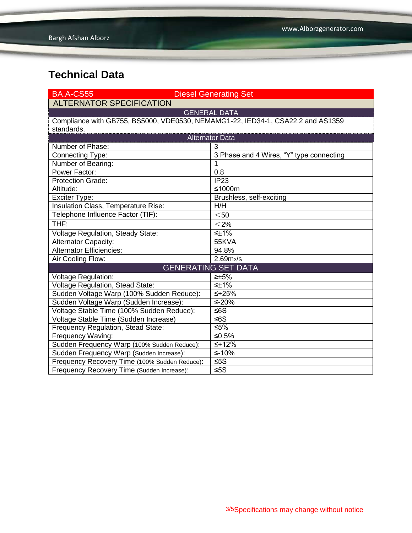| <b>BA.A-CS55</b>                                                                | <b>Diesel Generating Set</b>             |  |  |  |  |  |
|---------------------------------------------------------------------------------|------------------------------------------|--|--|--|--|--|
| <b>ALTERNATOR SPECIFICATION</b>                                                 |                                          |  |  |  |  |  |
| <b>GENERAL DATA</b>                                                             |                                          |  |  |  |  |  |
| Compliance with GB755, BS5000, VDE0530, NEMAMG1-22, IED34-1, CSA22.2 and AS1359 |                                          |  |  |  |  |  |
| standards.                                                                      |                                          |  |  |  |  |  |
| <b>Alternator Data</b>                                                          |                                          |  |  |  |  |  |
| Number of Phase:                                                                | 3                                        |  |  |  |  |  |
| Connecting Type:                                                                | 3 Phase and 4 Wires, "Y" type connecting |  |  |  |  |  |
| Number of Bearing:                                                              | 1                                        |  |  |  |  |  |
| Power Factor:                                                                   | 0.8                                      |  |  |  |  |  |
| <b>Protection Grade:</b>                                                        | IP23                                     |  |  |  |  |  |
| Altitude:                                                                       | ≤1000m                                   |  |  |  |  |  |
| <b>Exciter Type:</b>                                                            | Brushless, self-exciting                 |  |  |  |  |  |
| Insulation Class, Temperature Rise:                                             | H/H                                      |  |  |  |  |  |
| Telephone Influence Factor (TIF):                                               | $<$ 50 $\,$                              |  |  |  |  |  |
| THF:                                                                            | $<$ 2%                                   |  |  |  |  |  |
| Voltage Regulation, Steady State:                                               | $\leq \pm 1\%$                           |  |  |  |  |  |
| Alternator Capacity:                                                            | 55KVA                                    |  |  |  |  |  |
| <b>Alternator Efficiencies:</b>                                                 | 94.8%                                    |  |  |  |  |  |
| Air Cooling Flow:                                                               | 2.69 <sub>m3</sub> /s                    |  |  |  |  |  |
|                                                                                 | <b>GENERATING SET DATA</b>               |  |  |  |  |  |
| <b>Voltage Regulation:</b>                                                      | $\geq \pm 5\%$                           |  |  |  |  |  |
| Voltage Regulation, Stead State:                                                | $\leq \pm 1\%$                           |  |  |  |  |  |
| Sudden Voltage Warp (100% Sudden Reduce):                                       | $5 + 25%$                                |  |  |  |  |  |
| Sudden Voltage Warp (Sudden Increase):                                          | ≤-20%                                    |  |  |  |  |  |
| Voltage Stable Time (100% Sudden Reduce):                                       | $≤6S$                                    |  |  |  |  |  |
| Voltage Stable Time (Sudden Increase)                                           | ≤6S                                      |  |  |  |  |  |
| Frequency Regulation, Stead State:                                              | ≤5%                                      |  |  |  |  |  |
| Frequency Waving:                                                               | ≤0.5%                                    |  |  |  |  |  |
| Sudden Frequency Warp (100% Sudden Reduce):                                     | $≤+12%$                                  |  |  |  |  |  |
| Sudden Frequency Warp (Sudden Increase):                                        | $≤-10%$                                  |  |  |  |  |  |
| Frequency Recovery Time (100% Sudden Reduce):                                   | $≤5S$                                    |  |  |  |  |  |
| Frequency Recovery Time (Sudden Increase):                                      | $≤5S$                                    |  |  |  |  |  |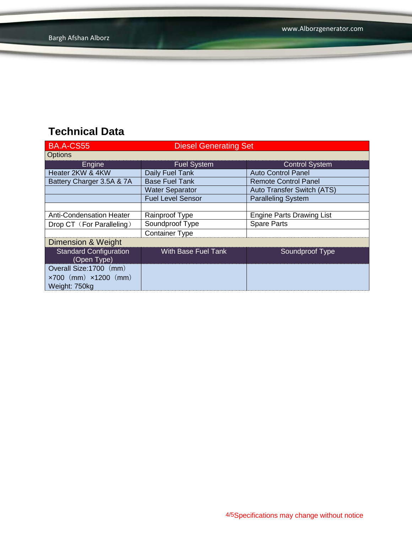| <b>BA.A-CS55</b>                                                                 | <b>Diesel Generating Set</b> |                                   |  |  |  |
|----------------------------------------------------------------------------------|------------------------------|-----------------------------------|--|--|--|
| <b>Options</b>                                                                   |                              |                                   |  |  |  |
| Engine                                                                           | <b>Fuel System</b>           | <b>Control System</b>             |  |  |  |
| Heater 2KW & 4KW                                                                 | Daily Fuel Tank              | <b>Auto Control Panel</b>         |  |  |  |
| Battery Charger 3.5A & 7A                                                        | <b>Base Fuel Tank</b>        | <b>Remote Control Panel</b>       |  |  |  |
|                                                                                  | <b>Water Separator</b>       | <b>Auto Transfer Switch (ATS)</b> |  |  |  |
|                                                                                  | <b>Fuel Level Sensor</b>     | <b>Paralleling System</b>         |  |  |  |
|                                                                                  |                              |                                   |  |  |  |
| <b>Anti-Condensation Heater</b>                                                  | Rainproof Type               | <b>Engine Parts Drawing List</b>  |  |  |  |
| Drop CT (For Paralleling)                                                        | Soundproof Type              | <b>Spare Parts</b>                |  |  |  |
|                                                                                  | <b>Container Type</b>        |                                   |  |  |  |
| Dimension & Weight                                                               |                              |                                   |  |  |  |
| <b>Standard Configuration</b><br>(Open Type)                                     | <b>With Base Fuel Tank</b>   | Soundproof Type                   |  |  |  |
| Overall Size: 1700 (mm)<br>$\times 700$ (mm) $\times 1200$ (mm)<br>Weight: 750kg |                              |                                   |  |  |  |